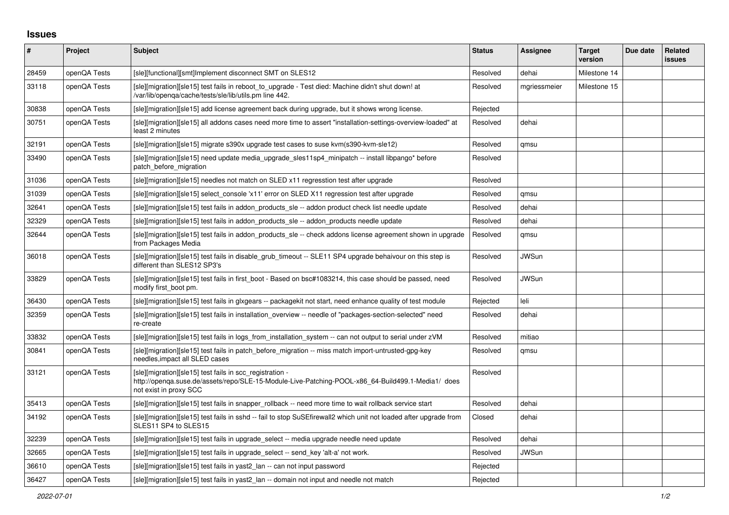## **Issues**

| #     | Project      | <b>Subject</b>                                                                                                                                                                          | <b>Status</b> | Assignee     | <b>Target</b><br>version | Due date | Related<br>issues |
|-------|--------------|-----------------------------------------------------------------------------------------------------------------------------------------------------------------------------------------|---------------|--------------|--------------------------|----------|-------------------|
| 28459 | openQA Tests | [sle][functional][smt]Implement disconnect SMT on SLES12                                                                                                                                | Resolved      | dehai        | Milestone 14             |          |                   |
| 33118 | openQA Tests | [sle][migration][sle15] test fails in reboot to_upgrade - Test died: Machine didn't shut down! at<br>/var/lib/openga/cache/tests/sle/lib/utils.pm line 442.                             | Resolved      | mgriessmeier | Milestone 15             |          |                   |
| 30838 | openQA Tests | [sle][migration][sle15] add license agreement back during upgrade, but it shows wrong license.                                                                                          | Rejected      |              |                          |          |                   |
| 30751 | openQA Tests | [sle][migration][sle15] all addons cases need more time to assert "installation-settings-overview-loaded" at<br>least 2 minutes                                                         | Resolved      | dehai        |                          |          |                   |
| 32191 | openQA Tests | [sle][migration][sle15] migrate s390x upgrade test cases to suse kvm(s390-kvm-sle12)                                                                                                    | Resolved      | amsu         |                          |          |                   |
| 33490 | openQA Tests | [sle][migration][sle15] need update media upgrade sles11sp4 minipatch -- install libpango* before<br>patch_before_migration                                                             | Resolved      |              |                          |          |                   |
| 31036 | openQA Tests | [sle][migration][sle15] needles not match on SLED x11 regresstion test after upgrade                                                                                                    | Resolved      |              |                          |          |                   |
| 31039 | openQA Tests | [sle][migration][sle15] select_console 'x11' error on SLED X11 regression test after upgrade                                                                                            | Resolved      | qmsu         |                          |          |                   |
| 32641 | openQA Tests | [sle][migration][sle15] test fails in addon_products_sle -- addon product check list needle update                                                                                      | Resolved      | dehai        |                          |          |                   |
| 32329 | openQA Tests | [sle][migration][sle15] test fails in addon_products_sle -- addon_products needle update                                                                                                | Resolved      | dehai        |                          |          |                   |
| 32644 | openQA Tests | [sle][migration][sle15] test fails in addon products sle -- check addons license agreement shown in upgrade<br>from Packages Media                                                      | Resolved      | qmsu         |                          |          |                   |
| 36018 | openQA Tests | [sle][migration][sle15] test fails in disable_grub_timeout -- SLE11 SP4 upgrade behaivour on this step is<br>different than SLES12 SP3's                                                | Resolved      | <b>JWSun</b> |                          |          |                   |
| 33829 | openQA Tests | [sle][migration][sle15] test fails in first boot - Based on bsc#1083214, this case should be passed, need<br>modify first boot pm.                                                      | Resolved      | <b>JWSun</b> |                          |          |                   |
| 36430 | openQA Tests | [sle][migration][sle15] test fails in glxgears -- packagekit not start, need enhance quality of test module                                                                             | Rejected      | leli         |                          |          |                   |
| 32359 | openQA Tests | [sle][migration][sle15] test fails in installation overview -- needle of "packages-section-selected" need<br>re-create                                                                  | Resolved      | dehai        |                          |          |                   |
| 33832 | openQA Tests | [sle][migration][sle15] test fails in logs_from_installation_system -- can not output to serial under zVM                                                                               | Resolved      | mitiao       |                          |          |                   |
| 30841 | openQA Tests | [sle][migration][sle15] test fails in patch_before_migration -- miss match import-untrusted-gpg-key<br>needles, impact all SLED cases                                                   | Resolved      | qmsu         |                          |          |                   |
| 33121 | openQA Tests | [sle][migration][sle15] test fails in scc_registration -<br>http://openqa.suse.de/assets/repo/SLE-15-Module-Live-Patching-POOL-x86_64-Build499.1-Media1/ does<br>not exist in proxy SCC | Resolved      |              |                          |          |                   |
| 35413 | openQA Tests | [sle][migration][sle15] test fails in snapper rollback -- need more time to wait rollback service start                                                                                 | Resolved      | dehai        |                          |          |                   |
| 34192 | openQA Tests | [sle][migration][sle15] test fails in sshd -- fail to stop SuSEfirewall2 which unit not loaded after upgrade from<br>SLES11 SP4 to SLES15                                               | Closed        | dehai        |                          |          |                   |
| 32239 | openQA Tests | [sle][migration][sle15] test fails in upgrade_select -- media upgrade needle need update                                                                                                | Resolved      | dehai        |                          |          |                   |
| 32665 | openQA Tests | [sle][migration][sle15] test fails in upgrade_select -- send_key 'alt-a' not work.                                                                                                      | Resolved      | <b>JWSun</b> |                          |          |                   |
| 36610 | openQA Tests | [sle][migration][sle15] test fails in yast2 lan -- can not input password                                                                                                               | Rejected      |              |                          |          |                   |
| 36427 | openQA Tests | [sle][migration][sle15] test fails in yast2_lan -- domain not input and needle not match                                                                                                | Rejected      |              |                          |          |                   |